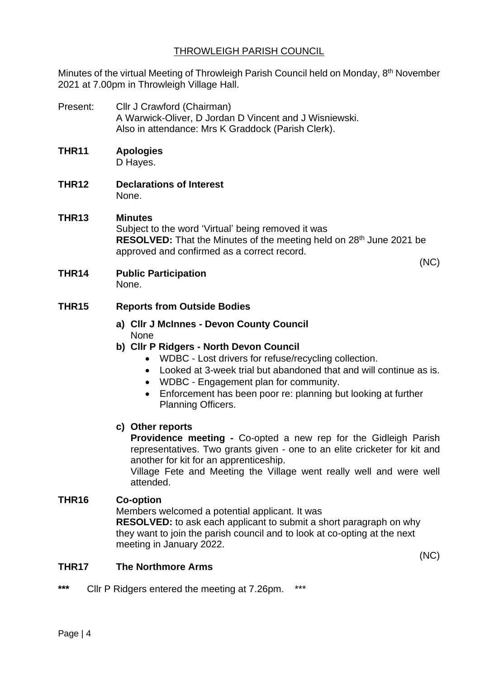## THROWLEIGH PARISH COUNCIL

Minutes of the virtual Meeting of Throwleigh Parish Council held on Monday, 8<sup>th</sup> November 2021 at 7.00pm in Throwleigh Village Hall.

Present: Cllr J Crawford (Chairman) A Warwick-Oliver, D Jordan D Vincent and J Wisniewski. Also in attendance: Mrs K Graddock (Parish Clerk).

# **THR11 Apologies**

D Hayes.

**THR12 Declarations of Interest** None.

## **THR13 Minutes** Subject to the word 'Virtual' being removed it was

**RESOLVED:** That the Minutes of the meeting held on 28<sup>th</sup> June 2021 be approved and confirmed as a correct record. (NC)

**THR14 Public Participation** None.

## **THR15 Reports from Outside Bodies**

- **a) Cllr J McInnes - Devon County Council** None
- **b) Cllr P Ridgers - North Devon Council**
	- WDBC Lost drivers for refuse/recycling collection.
	- Looked at 3-week trial but abandoned that and will continue as is.
	- WDBC Engagement plan for community.
	- Enforcement has been poor re: planning but looking at further Planning Officers.

## **c) Other reports**

**Providence meeting -** Co-opted a new rep for the Gidleigh Parish representatives. Two grants given - one to an elite cricketer for kit and another for kit for an apprenticeship.

Village Fete and Meeting the Village went really well and were well attended.

## **THR16 Co-option**

Members welcomed a potential applicant. It was **RESOLVED:** to ask each applicant to submit a short paragraph on why they want to join the parish council and to look at co-opting at the next meeting in January 2022.

(NC)

### **THR17 The Northmore Arms**

**\*\*\*** Cllr P Ridgers entered the meeting at 7.26pm. \*\*\*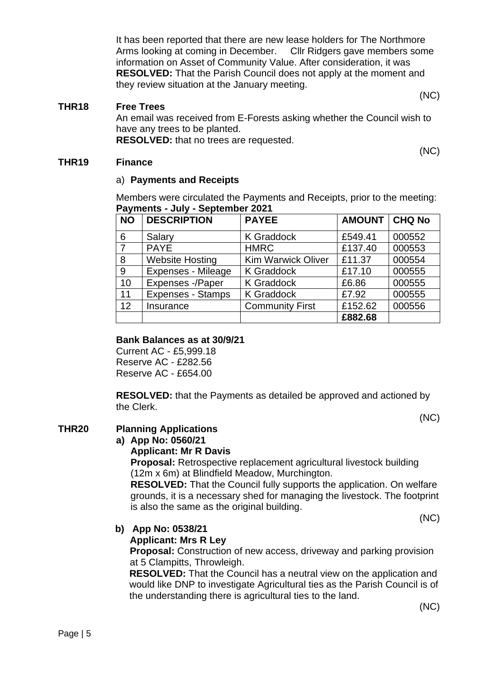It has been reported that there are new lease holders for The Northmore Arms looking at coming in December. Cllr Ridgers gave members some information on Asset of Community Value. After consideration, it was **RESOLVED:** That the Parish Council does not apply at the moment and they review situation at the January meeting.

#### (NC)

#### **THR18 Free Trees**

An email was received from E-Forests asking whether the Council wish to have any trees to be planted. **RESOLVED:** that no trees are requested.

(NC)

#### **THR19 Finance**

#### a) **Payments and Receipts**

Members were circulated the Payments and Receipts, prior to the meeting: **Payments - July - September 2021**

| <b>NO</b> | <b>DESCRIPTION</b>       | <b>PAYEE</b>              | <b>AMOUNT   CHQ No</b> |        |
|-----------|--------------------------|---------------------------|------------------------|--------|
| 6         | Salary                   | <b>K</b> Graddock         | £549.41                | 000552 |
| 7         | <b>PAYE</b>              | <b>HMRC</b>               | £137.40                | 000553 |
| 8         | <b>Website Hosting</b>   | <b>Kim Warwick Oliver</b> | £11.37                 | 000554 |
| 9         | Expenses - Mileage       | <b>K</b> Graddock         | £17.10                 | 000555 |
| 10        | Expenses -/Paper         | <b>K</b> Graddock         | £6.86                  | 000555 |
| 11        | <b>Expenses - Stamps</b> | <b>K</b> Graddock         | £7.92                  | 000555 |
| 12        | Insurance                | <b>Community First</b>    | £152.62                | 000556 |
|           |                          |                           | £882.68                |        |

#### **Bank Balances as at 30/9/21**

Current AC - £5,999.18 Reserve AC - £282.56 Reserve AC - £654.00

**RESOLVED:** that the Payments as detailed be approved and actioned by the Clerk.

(NC)

#### **THR20 Planning Applications**

#### **a) App No: 0560/21**

#### **Applicant: Mr R Davis**

**Proposal:** Retrospective replacement agricultural livestock building (12m x 6m) at Blindfield Meadow, Murchington.

**RESOLVED:** That the Council fully supports the application. On welfare grounds, it is a necessary shed for managing the livestock. The footprint is also the same as the original building.

(NC)

#### **b) App No: 0538/21**

#### **Applicant: Mrs R Ley**

**Proposal:** Construction of new access, driveway and parking provision at 5 Clampitts, Throwleigh.

**RESOLVED:** That the Council has a neutral view on the application and would like DNP to investigate Agricultural ties as the Parish Council is of the understanding there is agricultural ties to the land.

(NC)